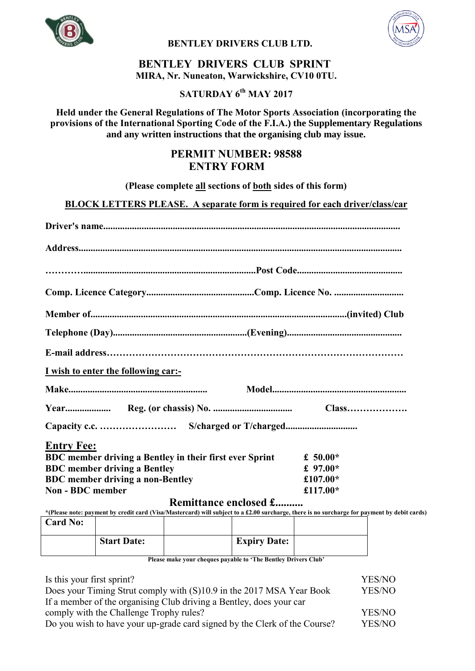

**BENTLEY DRIVERS CLUB LTD.** 



## **BENTLEY DRIVERS CLUB SPRINT MIRA, Nr. Nuneaton, Warwickshire, CV10 0TU.**

# **SATURDAY 6 th MAY 2017**

## **Held under the General Regulations of The Motor Sports Association (incorporating the provisions of the International Sporting Code of the F.I.A.) the Supplementary Regulations and any written instructions that the organising club may issue.**

# **PERMIT NUMBER: 98588 ENTRY FORM**

**(Please complete all sections of both sides of this form)**

**BLOCK LETTERS PLEASE. A separate form is required for each driver/class/car**

| I wish to enter the following car:-                                                                                                                                                                                                                                                                    |             |
|--------------------------------------------------------------------------------------------------------------------------------------------------------------------------------------------------------------------------------------------------------------------------------------------------------|-------------|
|                                                                                                                                                                                                                                                                                                        |             |
|                                                                                                                                                                                                                                                                                                        |             |
|                                                                                                                                                                                                                                                                                                        |             |
| <b>Entry Fee:</b>                                                                                                                                                                                                                                                                                      |             |
| BDC member driving a Bentley in their first ever Sprint                                                                                                                                                                                                                                                | £ 50.00 $*$ |
| <b>BDC</b> member driving a Bentley                                                                                                                                                                                                                                                                    | £ $97.00*$  |
| <b>BDC</b> member driving a non-Bentley                                                                                                                                                                                                                                                                | £107.00*    |
| Non - BDC member                                                                                                                                                                                                                                                                                       | £117.00*    |
| <b>Remittance enclosed £</b>                                                                                                                                                                                                                                                                           |             |
| $*$ Olympic particle and $\alpha$ and $\alpha$ and $\alpha$ $\beta$ and $\alpha$ $\beta$ and $\alpha$ $\beta$ and $\alpha$ and $\beta$ and $\beta$ and $\beta$ and $\beta$ and $\beta$ and $\beta$ and $\beta$ and $\beta$ and $\beta$ and $\beta$ and $\beta$ and $\beta$ and $\beta$ and $\beta$ and |             |

## a/Mastercard) will subject to a £2.00 surcharge, there is no surcharge for payment by debit cards)

| <b>Card No:</b> |                    |  |                     |               |
|-----------------|--------------------|--|---------------------|---------------|
|                 | <b>Start Date:</b> |  | <b>Expiry Date:</b> |               |
|                 | $\sim$             |  | .                   | $\sim$ $\sim$ |

**Please make your cheques payable to 'The Bentley Drivers Club'**

| Is this your first sprint?                                                | YES/NO |
|---------------------------------------------------------------------------|--------|
| Does your Timing Strut comply with (S)10.9 in the 2017 MSA Year Book      | YES/NO |
| If a member of the organising Club driving a Bentley, does your car       |        |
| comply with the Challenge Trophy rules?                                   | YES/NO |
| Do you wish to have your up-grade card signed by the Clerk of the Course? | YES/NO |